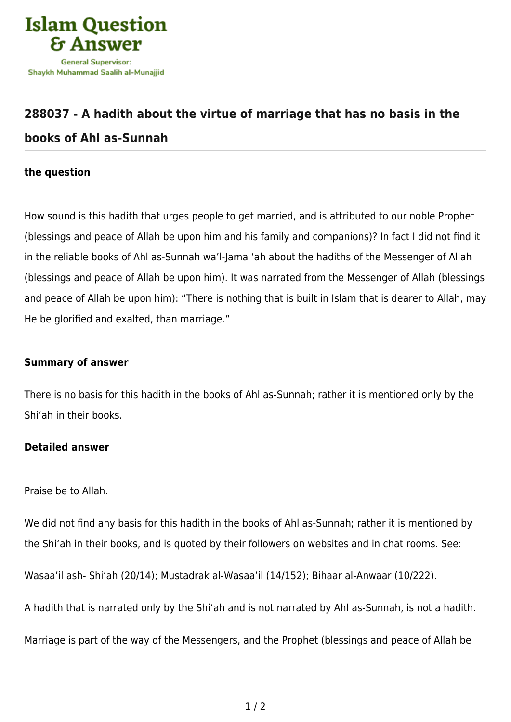

## **[288037 - A hadith about the virtue of marriage that has no basis in the](https://islamqa.com/en/answers/288037/a-hadith-about-the-virtue-of-marriage-that-has-no-basis-in-the-books-of-ahl-as-sunnah) [books of Ahl as-Sunnah](https://islamqa.com/en/answers/288037/a-hadith-about-the-virtue-of-marriage-that-has-no-basis-in-the-books-of-ahl-as-sunnah)**

## **the question**

How sound is this hadith that urges people to get married, and is attributed to our noble Prophet (blessings and peace of Allah be upon him and his family and companions)? In fact I did not find it in the reliable books of Ahl as-Sunnah wa'l-Jama 'ah about the hadiths of the Messenger of Allah (blessings and peace of Allah be upon him). It was narrated from the Messenger of Allah (blessings and peace of Allah be upon him): "There is nothing that is built in Islam that is dearer to Allah, may He be glorified and exalted, than marriage."

## **Summary of answer**

There is no basis for this hadith in the books of Ahl as-Sunnah; rather it is mentioned only by the Shi'ah in their books.

## **Detailed answer**

Praise be to Allah.

We did not find any basis for this hadith in the books of Ahl as-Sunnah; rather it is mentioned by the Shi'ah in their books, and is quoted by their followers on websites and in chat rooms. See:

Wasaa'il ash- Shi'ah (20/14); Mustadrak al-Wasaa'il (14/152); Bihaar al-Anwaar (10/222).

A hadith that is narrated only by the Shi'ah and is not narrated by Ahl as-Sunnah, is not a hadith.

Marriage is part of the way of the Messengers, and the Prophet (blessings and peace of Allah be